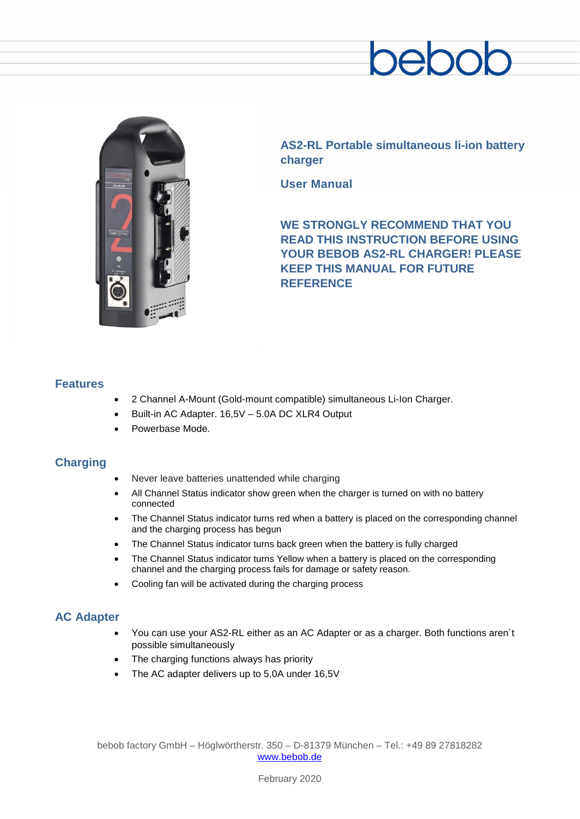# ehr



**AS2-RL Portable simultaneous li-ion battery charger**

**User Manual**

**WE STRONGLY RECOMMEND THAT YOU READ THIS INSTRUCTION BEFORE USING YOUR BEBOB AS2-RL CHARGER! PLEASE KEEP THIS MANUAL FOR FUTURE REFERENCE**

## **Features**

- 2 Channel A-Mount (Gold-mount compatible) simultaneous Li-Ion Charger.
- Built-in AC Adapter. 16,5V 5.0A DC XLR4 Output
- Powerbase Mode.

# **Charging**

- Never leave batteries unattended while charging
- All Channel Status indicator show green when the charger is turned on with no battery connected
- The Channel Status indicator turns red when a battery is placed on the corresponding channel and the charging process has begun
- The Channel Status indicator turns back green when the battery is fully charged
- The Channel Status indicator turns Yellow when a battery is placed on the corresponding channel and the charging process fails for damage or safety reason.
- Cooling fan will be activated during the charging process

## **AC Adapter**

- You can use your AS2-RL either as an AC Adapter or as a charger. Both functions aren´t possible simultaneously
- The charging functions always has priority
- The AC adapter delivers up to 5,0A under 16,5V

bebob factory GmbH – Höglwörtherstr. 350 – D-81379 München – Tel.: +49 89 27818282 [www.bebob.de](http://www.bebob.de/)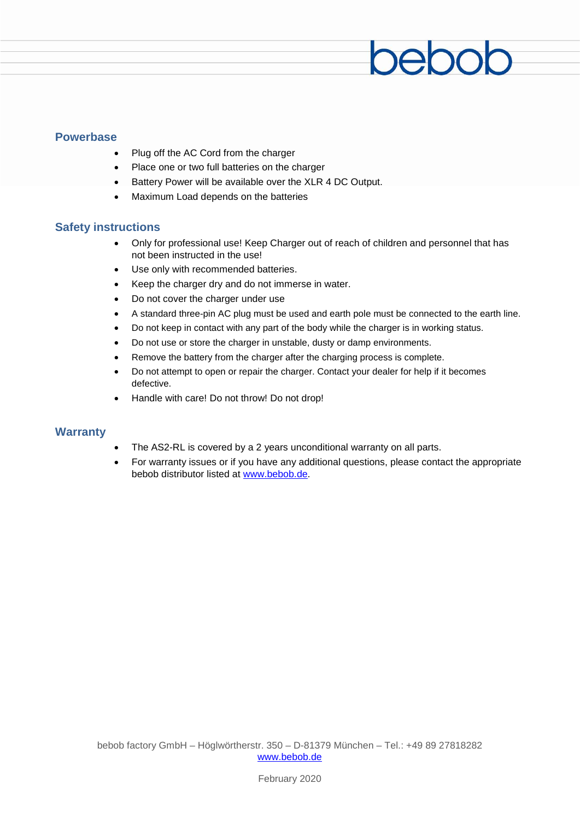#### **Powerbase**

- Plug off the AC Cord from the charger
- Place one or two full batteries on the charger
- Battery Power will be available over the XLR 4 DC Output.
- Maximum Load depends on the batteries

#### **Safety instructions**

• Only for professional use! Keep Charger out of reach of children and personnel that has not been instructed in the use!

bebob

- Use only with recommended batteries.
- Keep the charger dry and do not immerse in water.
- Do not cover the charger under use
- A standard three-pin AC plug must be used and earth pole must be connected to the earth line.
- Do not keep in contact with any part of the body while the charger is in working status.
- Do not use or store the charger in unstable, dusty or damp environments.
- Remove the battery from the charger after the charging process is complete.
- Do not attempt to open or repair the charger. Contact your dealer for help if it becomes defective.
- Handle with care! Do not throw! Do not drop!

#### **Warranty**

- The AS2-RL is covered by a 2 years unconditional warranty on all parts.
- For warranty issues or if you have any additional questions, please contact the appropriate bebob distributor listed at [www.bebob.de.](http://www.bebob.de/)